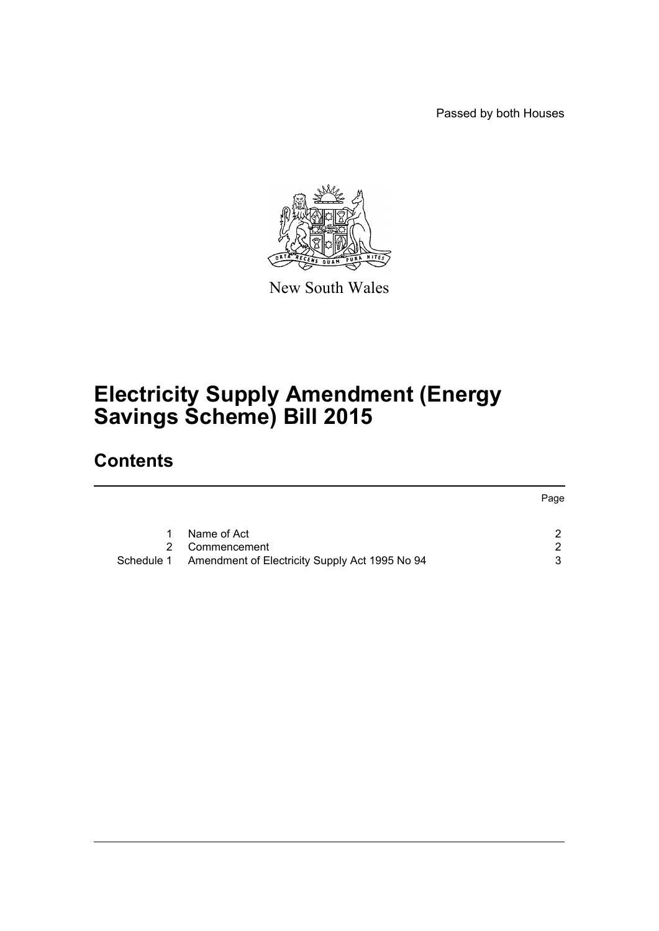Passed by both Houses



New South Wales

# **Electricity Supply Amendment (Energy Savings Scheme) Bill 2015**

# **Contents**

|               |                                                           | Page |
|---------------|-----------------------------------------------------------|------|
|               | Name of Act                                               | ົ    |
| $\mathcal{P}$ | Commencement                                              | ົ    |
|               | Schedule 1 Amendment of Electricity Supply Act 1995 No 94 | 3    |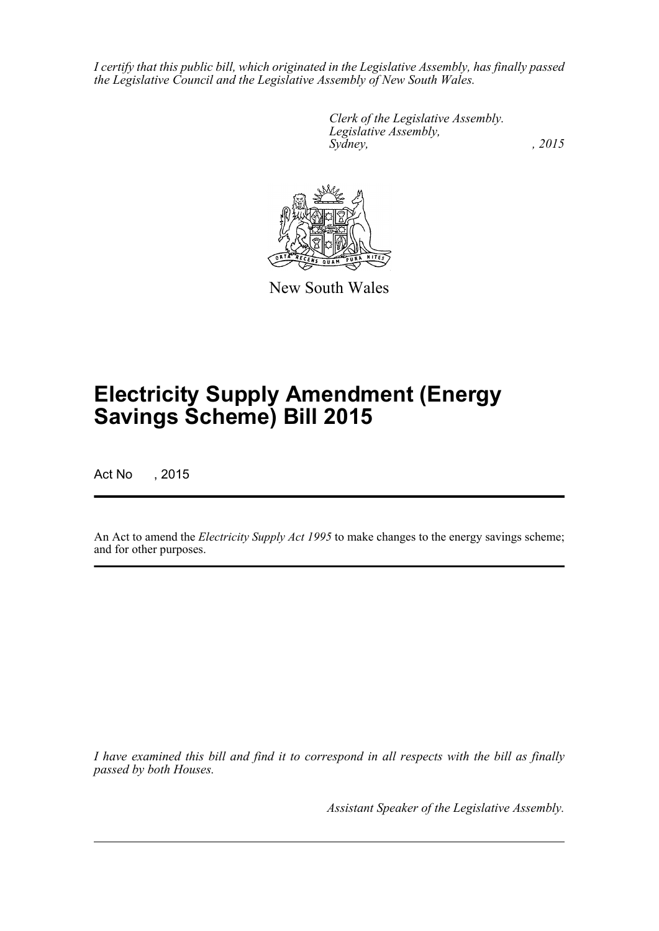*I certify that this public bill, which originated in the Legislative Assembly, has finally passed the Legislative Council and the Legislative Assembly of New South Wales.*

> *Clerk of the Legislative Assembly. Legislative Assembly, Sydney,* , 2015



New South Wales

# **Electricity Supply Amendment (Energy Savings Scheme) Bill 2015**

Act No , 2015

An Act to amend the *Electricity Supply Act 1995* to make changes to the energy savings scheme; and for other purposes.

*I have examined this bill and find it to correspond in all respects with the bill as finally passed by both Houses.*

*Assistant Speaker of the Legislative Assembly.*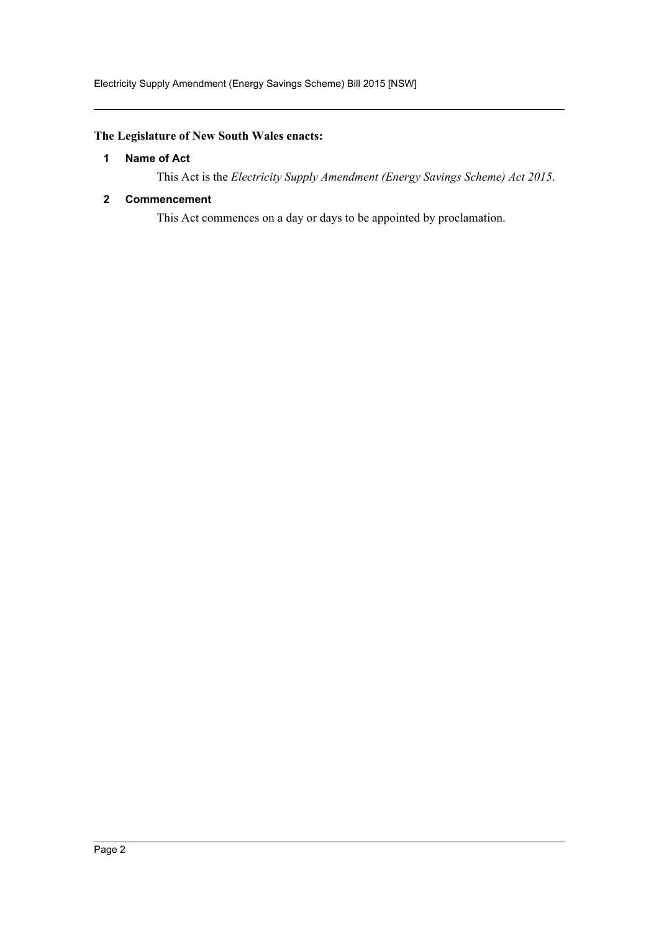# <span id="page-2-0"></span>**The Legislature of New South Wales enacts:**

#### **1 Name of Act**

This Act is the *Electricity Supply Amendment (Energy Savings Scheme) Act 2015*.

## <span id="page-2-1"></span>**2 Commencement**

This Act commences on a day or days to be appointed by proclamation.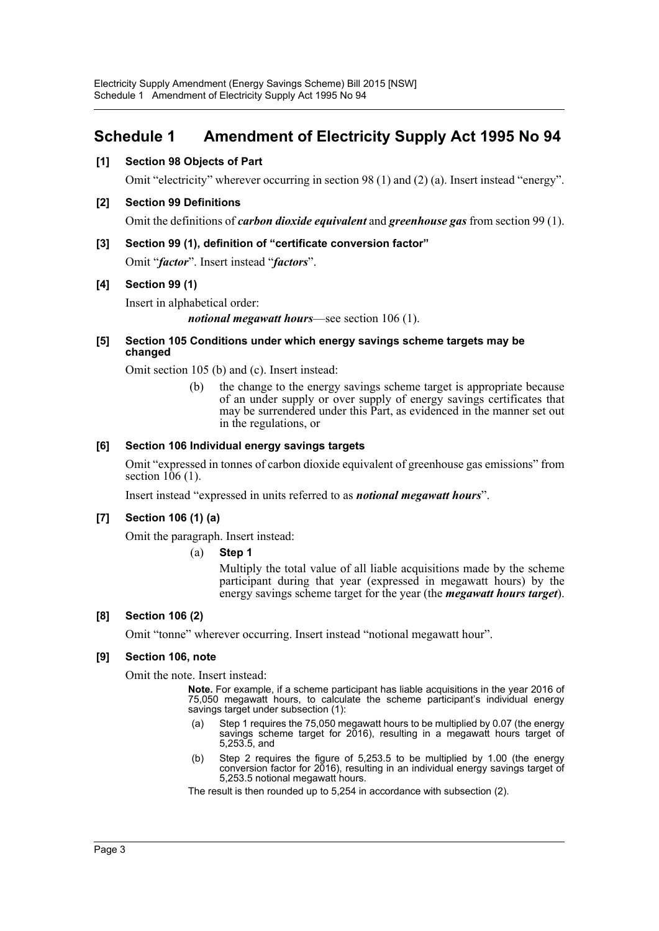# <span id="page-3-0"></span>**Schedule 1 Amendment of Electricity Supply Act 1995 No 94**

# **[1] Section 98 Objects of Part**

Omit "electricity" wherever occurring in section 98 (1) and (2) (a). Insert instead "energy".

## **[2] Section 99 Definitions**

Omit the definitions of *carbon dioxide equivalent* and *greenhouse gas* from section 99 (1).

#### **[3] Section 99 (1), definition of "certificate conversion factor"**

Omit "*factor*". Insert instead "*factors*".

#### **[4] Section 99 (1)**

Insert in alphabetical order:

*notional megawatt hours*—see section 106 (1).

#### **[5] Section 105 Conditions under which energy savings scheme targets may be changed**

Omit section 105 (b) and (c). Insert instead:

(b) the change to the energy savings scheme target is appropriate because of an under supply or over supply of energy savings certificates that may be surrendered under this Part, as evidenced in the manner set out in the regulations, or

#### **[6] Section 106 Individual energy savings targets**

Omit "expressed in tonnes of carbon dioxide equivalent of greenhouse gas emissions" from section 106 (1).

Insert instead "expressed in units referred to as *notional megawatt hours*".

#### **[7] Section 106 (1) (a)**

Omit the paragraph. Insert instead:

#### (a) **Step 1**

Multiply the total value of all liable acquisitions made by the scheme participant during that year (expressed in megawatt hours) by the energy savings scheme target for the year (the *megawatt hours target*).

#### **[8] Section 106 (2)**

Omit "tonne" wherever occurring. Insert instead "notional megawatt hour".

#### **[9] Section 106, note**

Omit the note. Insert instead:

**Note.** For example, if a scheme participant has liable acquisitions in the year 2016 of 75,050 megawatt hours, to calculate the scheme participant's individual energy savings target under subsection (1):

- (a) Step 1 requires the 75,050 megawatt hours to be multiplied by 0.07 (the energy savings scheme target for 2016), resulting in a megawatt hours target of 5,253.5, and
- (b) Step 2 requires the figure of 5,253.5 to be multiplied by 1.00 (the energy conversion factor for 2016), resulting in an individual energy savings target of 5,253.5 notional megawatt hours.

The result is then rounded up to 5,254 in accordance with subsection (2).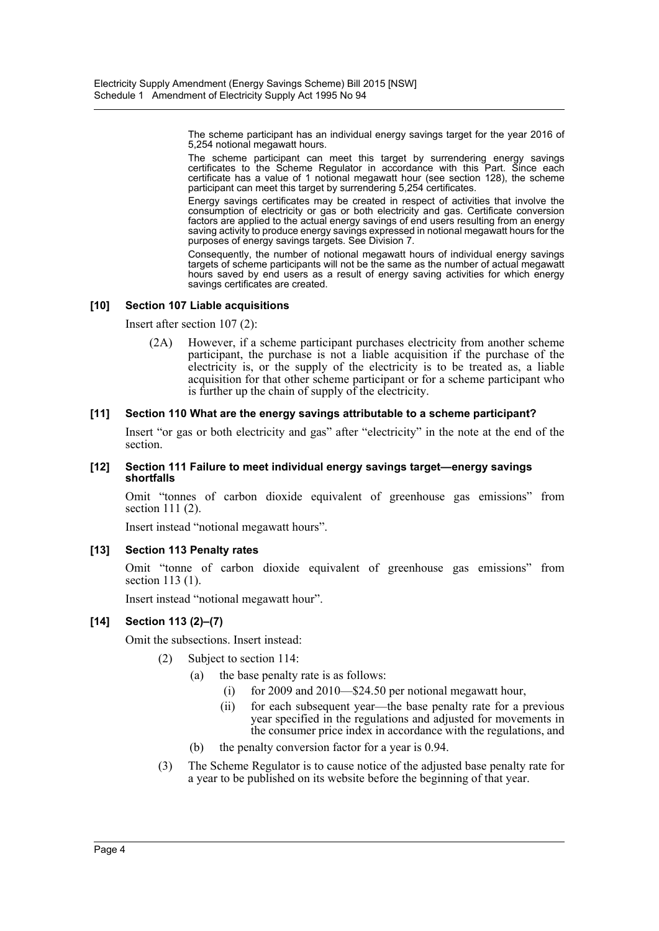The scheme participant has an individual energy savings target for the year 2016 of 5,254 notional megawatt hours.

The scheme participant can meet this target by surrendering energy savings certificates to the Scheme Regulator in accordance with this Part. Since each certificate has a value of 1 notional megawatt hour (see section 128), the scheme participant can meet this target by surrendering 5,254 certificates.

Energy savings certificates may be created in respect of activities that involve the consumption of electricity or gas or both electricity and gas. Certificate conversion factors are applied to the actual energy savings of end users resulting from an energy saving activity to produce energy savings expressed in notional megawatt hours for the purposes of energy savings targets. See Division 7.

Consequently, the number of notional megawatt hours of individual energy savings targets of scheme participants will not be the same as the number of actual megawatt hours saved by end users as a result of energy saving activities for which energy savings certificates are created.

#### **[10] Section 107 Liable acquisitions**

Insert after section 107 (2):

(2A) However, if a scheme participant purchases electricity from another scheme participant, the purchase is not a liable acquisition if the purchase of the electricity is, or the supply of the electricity is to be treated as, a liable acquisition for that other scheme participant or for a scheme participant who is further up the chain of supply of the electricity.

#### **[11] Section 110 What are the energy savings attributable to a scheme participant?**

Insert "or gas or both electricity and gas" after "electricity" in the note at the end of the section.

#### **[12] Section 111 Failure to meet individual energy savings target—energy savings shortfalls**

Omit "tonnes of carbon dioxide equivalent of greenhouse gas emissions" from section 111 (2).

Insert instead "notional megawatt hours".

#### **[13] Section 113 Penalty rates**

Omit "tonne of carbon dioxide equivalent of greenhouse gas emissions" from section 113 (1).

Insert instead "notional megawatt hour".

# **[14] Section 113 (2)–(7)**

Omit the subsections. Insert instead:

- (2) Subject to section 114:
	- (a) the base penalty rate is as follows:
		- (i) for 2009 and 2010—\$24.50 per notional megawatt hour,
		- (ii) for each subsequent year—the base penalty rate for a previous year specified in the regulations and adjusted for movements in the consumer price index in accordance with the regulations, and
	- (b) the penalty conversion factor for a year is 0.94.
- (3) The Scheme Regulator is to cause notice of the adjusted base penalty rate for a year to be published on its website before the beginning of that year.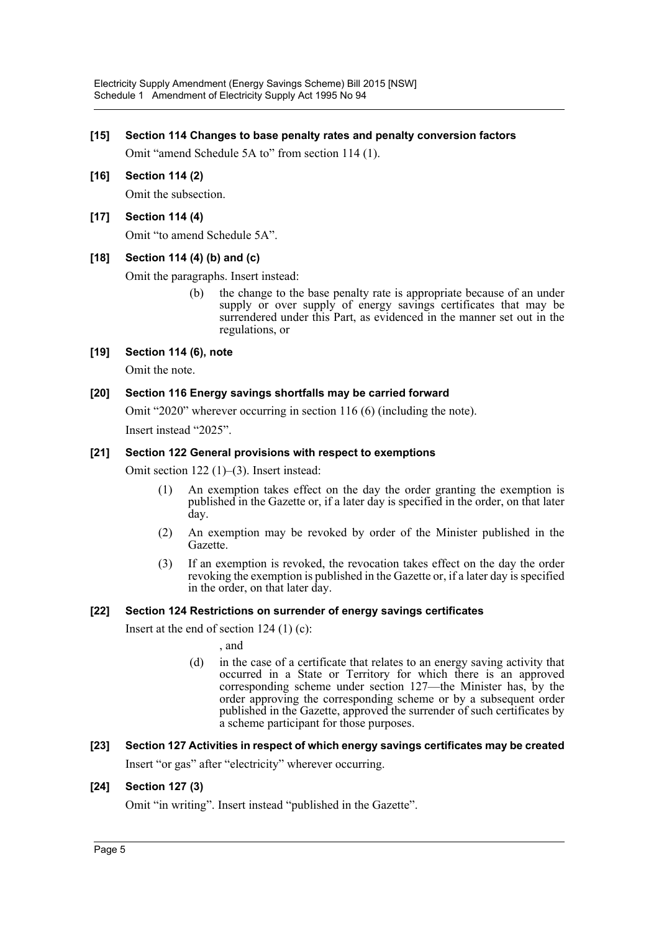#### **[15] Section 114 Changes to base penalty rates and penalty conversion factors**

Omit "amend Schedule 5A to" from section 114 (1).

# **[16] Section 114 (2)**

Omit the subsection.

## **[17] Section 114 (4)**

Omit "to amend Schedule 5A".

#### **[18] Section 114 (4) (b) and (c)**

Omit the paragraphs. Insert instead:

(b) the change to the base penalty rate is appropriate because of an under supply or over supply of energy savings certificates that may be surrendered under this Part, as evidenced in the manner set out in the regulations, or

#### **[19] Section 114 (6), note**

Omit the note.

#### **[20] Section 116 Energy savings shortfalls may be carried forward**

Omit "2020" wherever occurring in section 116 (6) (including the note). Insert instead "2025".

#### **[21] Section 122 General provisions with respect to exemptions**

Omit section 122 (1)–(3). Insert instead:

- (1) An exemption takes effect on the day the order granting the exemption is published in the Gazette or, if a later day is specified in the order, on that later day.
- (2) An exemption may be revoked by order of the Minister published in the Gazette.
- (3) If an exemption is revoked, the revocation takes effect on the day the order revoking the exemption is published in the Gazette or, if a later day is specified in the order, on that later day.

#### **[22] Section 124 Restrictions on surrender of energy savings certificates**

Insert at the end of section 124 (1) (c):

, and

(d) in the case of a certificate that relates to an energy saving activity that occurred in a State or Territory for which there is an approved corresponding scheme under section 127—the Minister has, by the order approving the corresponding scheme or by a subsequent order published in the Gazette, approved the surrender of such certificates by a scheme participant for those purposes.

# **[23] Section 127 Activities in respect of which energy savings certificates may be created** Insert "or gas" after "electricity" wherever occurring.

#### **[24] Section 127 (3)**

Omit "in writing". Insert instead "published in the Gazette".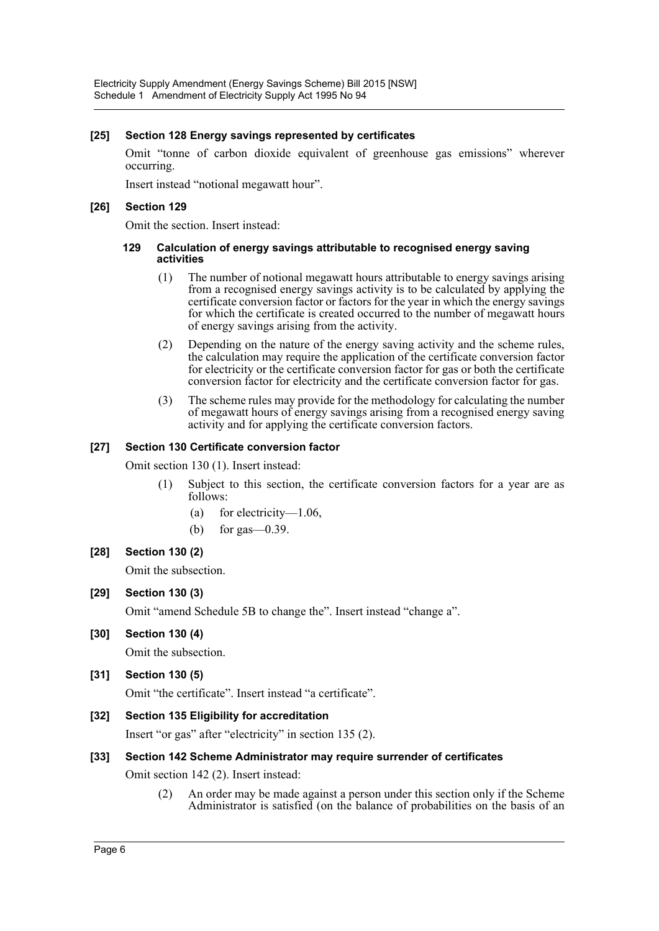#### **[25] Section 128 Energy savings represented by certificates**

Omit "tonne of carbon dioxide equivalent of greenhouse gas emissions" wherever occurring.

Insert instead "notional megawatt hour".

#### **[26] Section 129**

Omit the section. Insert instead:

#### **129 Calculation of energy savings attributable to recognised energy saving activities**

- (1) The number of notional megawatt hours attributable to energy savings arising from a recognised energy savings activity is to be calculated by applying the certificate conversion factor or factors for the year in which the energy savings for which the certificate is created occurred to the number of megawatt hours of energy savings arising from the activity.
- (2) Depending on the nature of the energy saving activity and the scheme rules, the calculation may require the application of the certificate conversion factor for electricity or the certificate conversion factor for gas or both the certificate conversion factor for electricity and the certificate conversion factor for gas.
- (3) The scheme rules may provide for the methodology for calculating the number of megawatt hours of energy savings arising from a recognised energy saving activity and for applying the certificate conversion factors.

#### **[27] Section 130 Certificate conversion factor**

Omit section 130 (1). Insert instead:

- (1) Subject to this section, the certificate conversion factors for a year are as follows:
	- (a) for electricity—1.06,
	- (b) for gas—0.39.

#### **[28] Section 130 (2)**

Omit the subsection.

#### **[29] Section 130 (3)**

Omit "amend Schedule 5B to change the". Insert instead "change a".

#### **[30] Section 130 (4)**

Omit the subsection.

# **[31] Section 130 (5)**

Omit "the certificate". Insert instead "a certificate".

#### **[32] Section 135 Eligibility for accreditation**

Insert "or gas" after "electricity" in section 135 (2).

#### **[33] Section 142 Scheme Administrator may require surrender of certificates**

Omit section 142 (2). Insert instead:

(2) An order may be made against a person under this section only if the Scheme Administrator is satisfied (on the balance of probabilities on the basis of an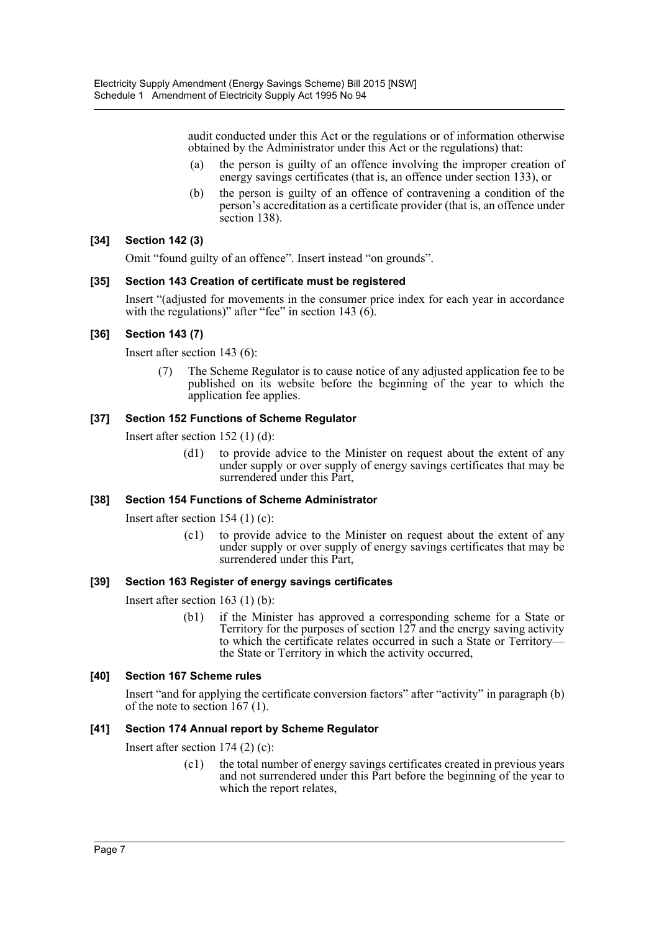audit conducted under this Act or the regulations or of information otherwise obtained by the Administrator under this Act or the regulations) that:

- (a) the person is guilty of an offence involving the improper creation of energy savings certificates (that is, an offence under section 133), or
- (b) the person is guilty of an offence of contravening a condition of the person's accreditation as a certificate provider (that is, an offence under section 138).

# **[34] Section 142 (3)**

Omit "found guilty of an offence". Insert instead "on grounds".

#### **[35] Section 143 Creation of certificate must be registered**

Insert "(adjusted for movements in the consumer price index for each year in accordance with the regulations)" after "fee" in section 143 (6).

# **[36] Section 143 (7)**

Insert after section 143 (6):

(7) The Scheme Regulator is to cause notice of any adjusted application fee to be published on its website before the beginning of the year to which the application fee applies.

# **[37] Section 152 Functions of Scheme Regulator**

Insert after section 152 (1) (d):

(d1) to provide advice to the Minister on request about the extent of any under supply or over supply of energy savings certificates that may be surrendered under this Part,

# **[38] Section 154 Functions of Scheme Administrator**

Insert after section 154 (1) (c):

(c1) to provide advice to the Minister on request about the extent of any under supply or over supply of energy savings certificates that may be surrendered under this Part,

# **[39] Section 163 Register of energy savings certificates**

Insert after section 163 (1) (b):

(b1) if the Minister has approved a corresponding scheme for a State or Territory for the purposes of section 127 and the energy saving activity to which the certificate relates occurred in such a State or Territory the State or Territory in which the activity occurred,

# **[40] Section 167 Scheme rules**

Insert "and for applying the certificate conversion factors" after "activity" in paragraph (b) of the note to section 167 (1).

# **[41] Section 174 Annual report by Scheme Regulator**

Insert after section 174 (2) (c):

(c1) the total number of energy savings certificates created in previous years and not surrendered under this Part before the beginning of the year to which the report relates,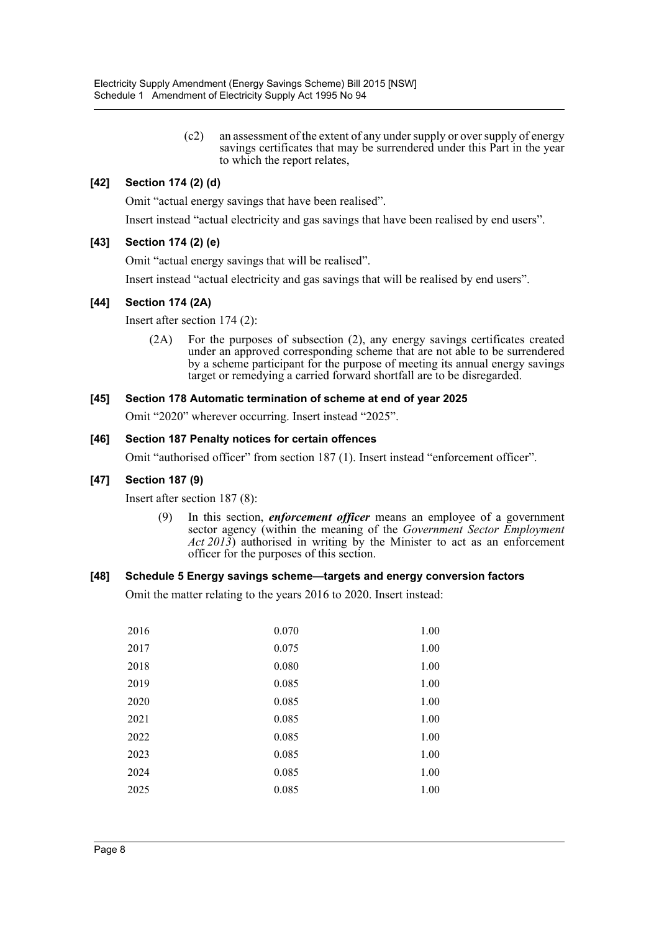(c2) an assessment of the extent of any under supply or over supply of energy savings certificates that may be surrendered under this Part in the year to which the report relates,

## **[42] Section 174 (2) (d)**

Omit "actual energy savings that have been realised".

Insert instead "actual electricity and gas savings that have been realised by end users".

#### **[43] Section 174 (2) (e)**

Omit "actual energy savings that will be realised".

Insert instead "actual electricity and gas savings that will be realised by end users".

#### **[44] Section 174 (2A)**

Insert after section 174 (2):

(2A) For the purposes of subsection (2), any energy savings certificates created under an approved corresponding scheme that are not able to be surrendered by a scheme participant for the purpose of meeting its annual energy savings target or remedying a carried forward shortfall are to be disregarded.

#### **[45] Section 178 Automatic termination of scheme at end of year 2025**

Omit "2020" wherever occurring. Insert instead "2025".

#### **[46] Section 187 Penalty notices for certain offences**

Omit "authorised officer" from section 187 (1). Insert instead "enforcement officer".

#### **[47] Section 187 (9)**

Insert after section 187 (8):

(9) In this section, *enforcement officer* means an employee of a government sector agency (within the meaning of the *Government Sector Employment Act 2013*) authorised in writing by the Minister to act as an enforcement officer for the purposes of this section.

#### **[48] Schedule 5 Energy savings scheme—targets and energy conversion factors**

Omit the matter relating to the years 2016 to 2020. Insert instead:

| 2016 | 0.070 | 1.00 |
|------|-------|------|
| 2017 | 0.075 | 1.00 |
| 2018 | 0.080 | 1.00 |
| 2019 | 0.085 | 1.00 |
| 2020 | 0.085 | 1.00 |
| 2021 | 0.085 | 1.00 |
| 2022 | 0.085 | 1.00 |
| 2023 | 0.085 | 1.00 |
| 2024 | 0.085 | 1.00 |
| 2025 | 0.085 | 1.00 |
|      |       |      |